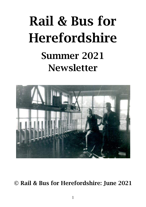# Rail & Bus for Herefordshire Summer 2021 **Newsletter**



© Rail & Bus for Herefordshire: June 2021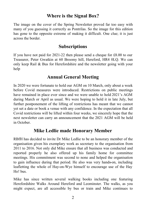#### **Where is the Signal Box?**

The image on the cover of the Spring Newsletter proved far too easy with many of you guessing it correctly as Pontrilas. So the image for this edition has gone to the opposite extreme of making it difficult. One clue; it is just across the border.

#### **Subscriptions**

If you have not paid for 2021-22 then please send a cheque for £8.00 to our Treasurer, Peter Gwatkin at 60 Broomy hill, Hereford, HR4 0LQ. We can only keep Rail & Bus for Herefordshire and the newsletter going with your help

#### **Annual General Meeting**

In 2020 we were fortunate to hold our AGM on 10 March, only about a week before Covid measures were introduced. Restrictions on public meetings have remained in place ever since and we were unable to hold 2021's AGM during March or April as usual. We were hoping to hold it in late July, but further postponement of the lifting of restrictions has meant that we cannot yet set a date or book a venue with any confidence. In the expectation that all Covid restrictions will be lifted within four weeks, we sincerely hope that the next newsletter can carry an announcement that the 2021 AGM will be held in October.

#### **Mike Ledlie made Honorary Member**

RBfH has decided to invite Dr Mike Ledlie to be an honorary member of the organisation given his exemplary work as secretary to the organisation from 2011 to 2016. Not only did Mike ensure that all business was conducted and reported properly he also offered up his family home for committee meetings. His commitment was second to none and helped the organisation to gain influence during that period. He also was very hands-on, including leafletting the whole of Hay-on-Wye himself to encourage use of the Hay Ho! bus.

Mike has since written several walking books including one featuring Herefordshire Walks Around Hereford and Leominster. The walks, as you might expect, are all accessible by bus or train and Mike continues to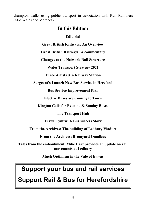champion walks using public transport in association with Rail Ramblers (Mid Wales and Marches).

#### **In this Edition**

**Editorial**

**Great British Railways: An Overview** 

**Great British Railways: A commentary**

**Changes to the Network Rail Structure**

**Wales Transport Strategy 2021**

**Three Artists & a Railway Station**

**Sargeant's Launch New Bus Service in Hereford**

**Bus Service Improvement Plan**

**Electric Buses are Coming to Town**

**Kington Calls for Evening & Sunday Buses**

**The Transport Hub**

**Traws Cymru: A Bus success Story**

**From the Archives: The building of Ledbury Viaduct**

**From the Archives: Bromyard Omnibus**

**Tales from the embankment. Mike Hart provides an update on rail movements at Ledbury**

**Much Optimism in the Vale of Ewyas**

# **Support your bus and rail services**

**Support Rail & Bus for Herefordshire**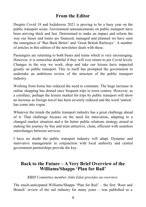#### **From the Editor**

Despite Covid 19 and lockdowns 2021 is proving to be a busy year on the public transport scene. Government announcements on public transport have been arriving thick and fast. Determined to make an impact and reform the way our buses and trains are financed, managed and planned we have seen the emergence of 'Bus Back Better' and 'Great British Railways'. A number of articles in this edition of the newsletter deals with these.

Passengers are returning to both buses and trains which is very encouraging. However, it is somewhat doubtful if they will ever return to pre Covid levels. Changes in the way we work, shop and take our leisure have impacted greatly on public transport. This in itself has prompted the government to undertake an ambitious review of the structure of the public transport industry.

Working from home has reduced the need to commute. The huge increase in online shopping has dented once frequent trips to town centres. However, as a corollary, perhaps the leisure market for trips by public transport will show an increase as foreign travel has been severely reduced and the word 'station' has come into vogue.

Whatever the trends the public transport industry has a great challenge ahead of it. That challenge focuses on the need for innovation, adapting to a changed market situation and a far better public relations strategy aimed at making the journey by bus and train attractive, clean, efficient with seamless interchanges between services.

I have no doubt the public transport industry will adapt. Dynamic and innovative management in conjunction with local authority and central government partnerships provide the key.

#### **Back to the Future – A Very Brief Overview of the Williams/Shapps 'Plan for Rail'**

*RBfH Committee member John Eden provides an overview.*

The much-anticipated Williams/Shapps 'Plan for Rail' – the first 'Root and Branch' review of the rail industry for many years – was published as a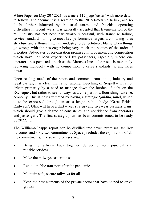White Paper on May  $20^{th}$  2021, as a mere 112 page 'taster' with more detail to follow. The document is a reaction to the 2018 timetable failure, and no doubt further informed by industrial unrest and franchise operating difficulties in recent years. It is generally accepted that fragmentation of the rail industry has not been particularly successful, with franchise failure, service standards falling to meet key performance targets, a confusing fares structure and a flourishing mini-industry to deflect/direct blame when things go wrong, with the passenger being very much the bottom of the order of priorities. Advocates of privatisation promised improvement and competition which have not been experienced by passengers, especially where one operator lines persisted – such as the Marches line – the result is monopoly replacing monopoly with no competition to drive standards up and fares down.

Upon reading much of the report and comment from union, industry and legal parties, it is clear this is not another Beeching of Serpell – it is not driven primarily by a need to manage down the burden of debt on the Exchequer, but rather to see railways as a core part of a flourishing, diverse, economy. This is best attempted by having a strategic 'guiding mind, which is to be expressed through an arms length public body: 'Great British Railways'. GBR will have a thirty-year strategy and five-year business plans, which should give a degree of consistency and confidence from operators and passengers. The first strategic plan has been commissioned to be ready by 2022……

The Williams/Shapps report can be distilled into seven promises, ten key outcomes and sixty-two commitments. Space precludes the exploration of all the commitments. The seven promises are:

- Bring the railways back together, delivering more punctual and reliable services
- Make the railways easier to use
- Rebuild public transport after the pandemic
- Maintain safe, secure railways for all
- Keep the best elements of the private sector that have helped to drive growth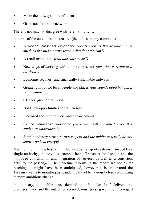- Make the railways more efficient
- Grow not shrink the network

There is not much to disagree with here – so far......

In terms of the outcomes, the ten are: (the italics are my comments)

- A modern passenger experience *(words such as this irritate me as much as the student experience: what does it mean?)*
- A retail revolution *(what does this mean?)*
- New ways of working with the private sector *(but what is really in it for them?)*
- Economic recovery and financially sustainable railways
- Greater control for local people and places *(this sounds good but can it really happen?)*
- Cleaner, greener, railways
- Bold new opportunities for rail freight
- Increased speed of delivery and enhancements
- Skilled, innovative workforce *(were rail staff consulted when this study was undertaken?)*
- Simple industry structure *(passengers and the public generally do not know who is in charge)*

Much of the thinking has been influenced by transport systems managed by a single authority, the obvious example being Transport for London and the improved coordination and integration of services as well as a consistent offer to the passenger. The ticketing reforms in the report are not as far reaching as might have been anticipated, however it is understood the Treasury wants to monitor past pandemic travel behaviour before committing to more ambitious change.

In summary, the public must demand the 'Plan for Rail' delivers the promises made and the outcomes secured; must press government to regard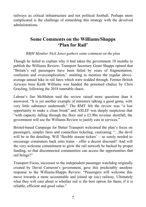railways as critical infrastructure and not political football. Perhaps more complicated is the challenge of enmeshing this strategy with the devolved administrations.

#### **Some Comments on the Williams/Shapps 'Plan for Rail'**

#### *RBfH Member Nick Jones gathers some comment on the plan*

Though he failed to explain why it had taken the government 18 months to publish the Williams Review, Transport Secretary Grant Shapps opined that "Britain's rail passengers have been failed by years of fragmentation, confusion and overcomplication," omitting to mention the regular aboveaverage annual hike in rail fares which were nodded through. Former British Airways boss Keith Williams was handed the poisoned chalice by Chris Grayling, following the 2018 timetable chaos.

Labour's Jim McMahon said the review raised more questions than it answered. "It is yet another example of ministers talking a good game, with very little substance underneath." The RMT felt the review was "a lost opportunity to make a clean break" and ASLEF was deeply suspicious that "with capacity falling through the floor and a £2.9bn revenue shortfall, the government will use the Williams Review to justify cuts in services."

Bristol-based Campaign for Better Transport welcomed the plan's focus on passengers, simpler fares and contactless ticketing, cautioning: "…the devil will be in the detailing. Will 'flexible season tickets' – so sorely needed to encourage commuters back onto trains – offer a decent discount? And will the very welcome commitment to grow the rail network be backed by proper funding, so that disconnected communities can access the opportunities that rail brings?"

Transport Focus, successor to the independent passenger watchdog originally created by David Cameron's government, gave this predictably anodyne response to the Williams-Shapps Review: "Passengers will welcome this move towards a more accountable and joined up (sic) railway. Ultimately what they will care about is whether rail is the best option for them; if it is reliable, efficient and good value."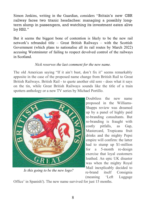Simon Jenkins, writing in the Guardian, considers "Britain's new GBR railway faces two titanic headaches: managing a possibly longterm slump in passengers, and watching its investment eaten alive by HS2."

But it seems the biggest bone of contention is likely to be the new rail network's rebranded title – Great British Railways – with the Scottish Government (which plans to nationalise all its rail routes by March 2022) accusing Westminster of failing to respect devolved control of the railways in Scotland.

#### *Nick reserves the last comment for the new name.*

The old American saying "If it ain't bust, don't fix it" seems remarkably apposite in the case of the proposed name change from British Rail to Great British Railways. British Rail - to quote another old sore - does what it says on the tin, while Great British Railways sounds like the title of a train spotters anthology or a new TV series by Michael Portillo.



*Is this going to be the new logo?*

Doubtless the new name proposed in the Williams-Shapps review was dreamed up by a panel of highly paid re-branding consultants. But re-branding is fraught with costly pitfalls, as Gap, Mastercard, Tropicana fruit drinks and the mighty Pepsi empire will confirm: the latter had to stump up \$1-million for a 5-month re-design exercise that loyal customers loathed. An epic UK disaster was when the mighty Royal Mail inexplicably decided to re-brand itself Consignia (meaning 'Left Luggage

Office' in Spanish!). The new name survived for just 15 months.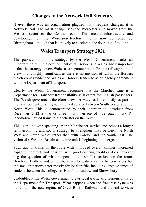#### **Changes to the Network Rail Structure**

If ever there was an organisation plagued with frequent changes, it is Network Rail. The latest change sees the Worcester area moved from the Western sector to the Central sector. This means infrastructure and development on the Worcester-Hereford line is now controlled by Birmingham although that is unlikely to accelerate the doubling of the line.

#### **Wales Transport Strategy 2021**

The publication of this strategy by the Welsh Government marks an important point in the development of rail services in Wales. Most important is that the strategy covers Wales as a separate nation. From a railway point of view this is highly significant as there is no mention of rail in the Borders which comes under the Wales & Borders franchise as an agency agreement with the Department of Transport.

Clearly the Welsh Government recognise that the Marches Line is a Department for Transport Responsibility as it caters for English passengers. The Welsh government therefore view the Marches Line mostly as part of the development of a high-quality fast service between South Wales and the North West. This is demonstrated by their intention to introduce from December 2022 a two or three hourly service of five coach mark IV locomotive hauled trains to Manchester on the route.

This is in line with speeding up the Manchester service and echoes a longer term economic and social strategy to strengthen links between the North West and South Wales rather than with London and the South East. The vision of a Western Britain economic unit is beginning to emerge.

Such quality trains on the route with improved overall timings, increased capacity, comfort, and possibly with good catering facilities does however beg the question of what happens to the smaller stations on the route. Hereford, Ludlow and Shrewsbury are long distance traffic generators but the smaller stations cater mostly for local traffic, including large volumes of students between the colleges at Hereford, Ludlow and Shrewsbury.

Undoubtedly the Welsh Government views local traffic as a responsibility of the Department for Transport. What happens when the franchise system is buried and the new regime of Great British Railways and the rail services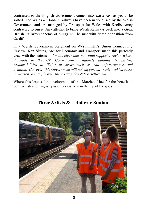contracted to the English Government comes into existence has yet to be sorted. The Wales & Borders railways have been nationalised by the Welsh Government and are managed by Transport for Wales with Keolis Amey contracted to run it. Any attempt to bring Welsh Railways back into a Great British Railways scheme of things will be met with fierce opposition from Cardiff.

In a Welsh Government Statement on Westminster's Union Connectivity Review, Ken Skates, AM for Economy and Transport made this perfectly clear with the statement: *I made clear that we would support a review where it leads to the UK Government adequately funding its existing responsibilities to Wales in areas such as rail infrastructure and aviation. However, this Government will not support any review which seeks to weaken or trample over the existing devolution settlement.* 

Where this leaves the development of the Marches Line for the benefit of both Welsh and English passengers is now in the lap of the gods.



#### **Three Artists & a Railway Station**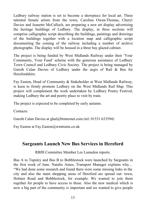Ledbury railway station is set to become a showpiece for local art. Three talented female artists from the town, Caroline Owen-Thomas, Cheryl Davies and Jeanette McCulloch, are preparing a new art display advertising the heritage buildings of Ledbury. The display, in three sections will comprise calligraphic script describing the buildings, paintings and drawings of the buildings together with a location map and calligraphic script documenting the coming of the railway including a number of archive photographs. The display will be housed in a three bay glazed cabinet.

The project is being funded by West Midlands Railway under their 'Your Community, Your Fund' scheme with the generous assistance of Ledbury Town Council and Ledbury Civic Society. The project is being managed by Gareth Calan Davies of Ledbury under the aegis of Rail & Bus for Herefordshire.

Fay Easton, Head of Community & Stakeholder at West Midlands Railway, is keen to firmly promote Ledbury on the West Midlands Rail Map. This project will complement the work undertaken by Ledbury Poetry Festival, making Ledbury the art and poetry place to visit by train.

The project is expected to be completed by early autumn.

Contacts:

Gareth Calan Davies at ghal@btinternet.com (tel: 01531 633594)

Fay Easton at Fay.Easton@wmtrains.co.uk

#### **Sargeants Launch New Bus Services in Hereford**

RBfH Committee Member Les Lumsdon reports.

Bus A to Tupsley and Bus B to Bobblestock were launched by Sargeants in the first week of June. Natalie Amos, Transport Manager explains why… "We had done some research and found there were some missing links in the city and also the main shopping areas of Hereford are spread out: town, Holmer Road and Bobblestock, for example. We wanted to join them together for people to have access to these. Also the new medical which is now a big part of the community is important and we wanted to give people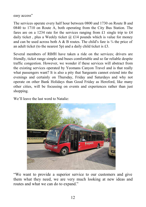easy access"

The services operate every half hour between 0800 and 1730 on Route B and 0840 to 1710 on Route A, both operating from the City Bus Station. The fares are on a 1234 rate for the services ranging from £1 single trip to £4 daily ticket, plus a Weekly ticket  $(a)$  £14 pounds which is value for money and can be used across both A & B routes. The child's fare is  $\frac{3}{4}$  the price of an adult ticket (to the nearest 5p) and a daily child ticket is £3.

Several members of RBfH have taken a ride on the services; drivers are friendly, ticket range simple and buses comfortable and so far reliable despite traffic congestion. However, we wonder if these services will abstract from the existing services operated by Yeomans Canyon Travel and is that really what passengers want? It is also a pity that Sargeants cannot extend into the evenings and certainly on Thursday, Friday and Saturdays and why not operate on other Bank Holidays than Good Friday as Hereford, like many other cities, will be focussing on events and experiences rather than just shopping.

We'll leave the last word to Natalie:



"We want to provide a superior service to our customers and give them what they need, we are very much looking at new ideas and routes and what we can do to expand."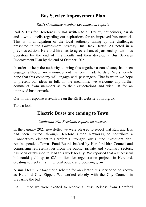#### **Bus Service Improvement Plan**

*RBfH Committee member Les Lumsdon reports*

Rail & Bus for Herefordshire has written to all County councillors, parish and town councils regarding our aspirations for an improved bus network. This is in anticipation of the local authority taking up the challenges presented in the Government Strategy Bus Back Better. As noted in a previous edition, Herefordshire has to agree enhanced partnerships with bus operators by the end of this month and then develop a Bus Services Improvement Plan by the end of October, 2021.

In order to help the authority to bring this together a consultancy has been engaged although no announcement has been made to date. We sincerely hope that this company will engage with passengers. That is when we hope to present our ideas in full. In the meantime, we welcome any further comments from members as to their expectations and wish list for an improved bus network.

Our initial response is available on the RBfH website rbfh.org.uk

Take a look.

#### **Electric Buses are coming to Town**

*Chairman Will Frecknall reports on success.*

In the January 2021 newsletter we were pleased to report that Rail and Bus had been invited, through Hereford Green Networks, to contribute a 'Connectivity 'element to Hereford's Stronger Towns Fund Investment Plan. An independent Towns Fund Board, backed by Herefordshire Council and comprising representatives from the public, private and voluntary sectors, has been established to lead this work locally. We reported that a successful bid could yield up to £25 million for regeneration projects in Hereford, creating new jobs, training local people and boosting growth.

A small team put together a scheme for an electric bus service to be known as Hereford City Zipper. We worked closely with the City Council in preparing the bid.

On 11 June we were excited to receive a Press Release from Hereford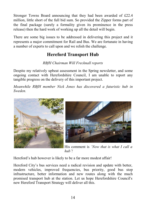Stronger Towns Board announcing that they had been awarded of £22.4 million, little short of the full bid sum. So provided the Zipper forms part of the final package (surely a formality given its prominence in the press release) then the hard work of working up all the detail will begin.

There are some big issues to be addressed in delivering this project and it represents a major commitment for Rail and Bus. We are fortunate in having a number of experts to call upon and we relish the challenge.

# **Hereford Transport Hub**

#### *RBfH Chairman Will Frecknall reports*

Despite my relatively upbeat assessment in the Spring newsletter, and some ongoing contact with Herefordshire Council, I am unable to report any tangible progress on the delivery of this important project.

*Meanwhile RBfH member Nick Jones has discovered a futuristic hub in Sweden.*



His comment is *'Now that is what I call a hub'!* 

Hereford's hub however is likely to be a far more modest affair!

Hereford City's bus services need a radical revision and update with better, modern vehicles, improved frequencies, bus priority, good bus stop infrastructure, better information and new routes along with the much promised transport hub at the station. Let us hope Herefordshire Council's new Hereford Transport Strategy will deliver all this.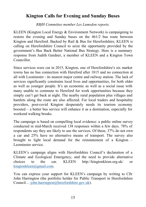## **Kington Calls for Evening and Sunday Buses**

*RBfH Committee member Les Lumsdon reports.*

KLEEN (Kington Local Energy & Environment Network) is campaigning to restore the evening and Sunday buses on the 461/2 bus route between Kington and Hereford. Backed by Rail & Bus for Herefordshire, KLEEN is calling on Herefordshire Council to seize the opportunity provided by the government's Bus Back Better National Bus Strategy. Here is a summary response from Judith Gardner, a member of KLEEN and a Kington Town Councillor.

Since services were cut in 2015, Kington, one of Herefordshire's six market towns has no bus connection with Hereford after 1815 and no connection at all with Leominster - its nearest major centre and railway station. The lack of services significantly constrains local lives and opportunities, for both older as well as younger people. It's an economic as well as a social issue with many unable to commute to Hereford for work opportunities because they simply can't get back at night. The nearby rural population plus villages and hamlets along the route are also affected. For local traders and hospitality providers, post-covid Kington desperately needs its tourism economy boosted – a better bus service will enhance it as a destination, especially for weekend walking breaks.

The campaign is based on compelling local evidence: a public online survey conducted in mid-March received 138 responses within a few days. 78% of respondents say they are likely to use the services. Of these, 37% do not own a car and 25% have no alternative means of transport. The survey also brought to light local demand for the reinstatement of a Kington – Leominster service.

KLEEN's campaign aligns with Herefordshire Council's declaration of a Climate and Ecological Emergency, and the need to provide alternative choices to the car. KLEEN http://kingtonkleen.org.uk/ or [kingtonkleen@gmail.com.](mailto:kingtonkleen@gmail.com) 

You can express your support for KLEEN's campaign by writing to Cllr John Harrington (the portfolio holder for Public Transport in Herefordshire Council… [john.harrington@herefordshire.gov.uk\)](mailto:john.harrington@herefordshire.gov.uk).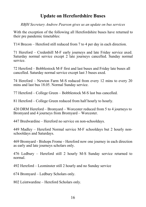## **Update on Herefordshire Buses**

*RBfH Secretary Andrew Pearson gives us an update on bus services*

With the exception of the following all Herefordshire buses have returned to their pre pandemic timetables:

T14 Brecon – Hereford still reduced from 7 to 4 per day in each direction.

71 Hereford – Credenhill M-F early journeys and late Friday service axed. Saturday normal service except 2 late journeys cancelled. Sunday normal service.

72 Hereford – Bobblestock M-F first and last buses and Friday late buses all cancelled. Saturday normal service except last 3 buses axed.

74 Hereford – Newton Farm M-S reduced from every 12 mins to every 20 mins and last bus 18.05. Normal Sunday service.

77 Hereford – College Green – Bobblestock M-S last bus cancelled.

81 Hereford – College Green reduced from half hourly to hourly.

420 DRM Hereford – Bromyard – Worcester reduced from 5 to 4 journeys to Bromyard and 4 journeys from Bromyard – Worcester.

447 Bredwardine – Hereford no service on non-schooldays.

449 Madley – Hereford Normal service M-F schooldays but 2 hourly nonschooldays and Saturdays.

469 Bromyard - Bishops Frome - Hereford now one journey in each direction as early and late journeys scholars only.

476 Ledbury – Hereford still 2 hourly M-S Sunday service returned to normal.

492 Hereford – Leominster still 2 hourly and no Sunday service

674 Bromyard – Ledbury Scholars only.

802 Leintwardine – Hereford Scholars only.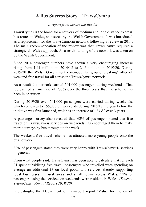# **A Bus Success Story – TrawsCymru**

*A report from across the Border*

TrawsCymru is the brand for a network of medium and long distance express bus routes in [Wales,](https://en.wikipedia.org/wiki/Wales) sponsored by the Welsh Government. It was introduced as a replacement for the TrawsCambria network following a review in 2014. The main recommendation of the review was that TrawsCymru required a strategic all Wales approach. As a result funding of the network was taken on by the Welsh Government,

Since 2014 passenger numbers have shown a very encouraging increase rising from 1.41 million in 2014/15 to 2.46 million in 2019/20. During 2019/20 the Welsh Government continued its 'ground breaking' offer of weekend free travel for all across the TrawsCymru network.

As a result the network carried 501,000 passengers during weekends. That represented an increase of 233% over the three years that the scheme has been in operation.

During 2019/20 over 501,000 passengers were carried during weekends, which compares to 155,000 on weekends during 2016/17 the year before the initiative was first launched, which is an increase of +233% over 3 years.

A passenger survey also revealed that: 62% of passengers stated that free travel on TrawsCymru services on weekends has encouraged them to make more journeys by bus throughout the week.

The weekend free travel scheme has attracted more young people onto the bus network.

82% of passengers stated they were very happy with TrawsCymru® services in general.

From what people said, TrawsCymru has been able to calculate that for each £1 spent subsidising free travel, passengers who travelled were spending on average an additional £3 on local goods and services, thereby supporting local businesses in rural areas and small towns across Wales; 92% of passengers using the services on weekends were resident in Wales. *(Source: TrawsCymru Annual Report 2019/20).*

Interestingly, the Department of Transport report 'Value for money of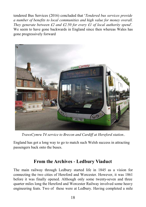tendered Bus Services (2016) concluded that '*Tendered bus services provide a number of benefits to local communities and high value for money overall. They generate between £2 and £2.50 for every £1 of local authority spend'.*  We seem to have gone backwards in England since then whereas Wales has gone progressively forward



*TrawsCymru T4 service to Brecon and Cardiff at Hereford station..*

England has got a long way to go to match such Welsh success in attracting passengers back onto the buses.

#### **From the Archives - Ledbury Viaduct**

The main railway through Ledbury started life in 1845 as a vision for connecting the two cities of Hereford and Worcester. However, it was 1861 before it was finally opened. Although only some twenty-seven and three quarter miles long the Hereford and Worcester Railway involved some heavy engineering feats. Two of these were at Ledbury. Having completed a mile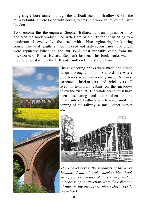long single bore tunnel through the difficult rock of Bradlow Knoll, the railway builders were faced with having to cross the wide valley of the River Leadon.

To overcome this the engineer, Stephen Ballard, built an impressive thirty one arch red brick viaduct. The arches are of a thirty foot span rising to a maximum of seventy five feet, each with a blue engineering brick string course. The total length is three hundred and sixty seven yards. The bricks were reputedly kilned on site but some most probably came from the brickworks of Robert Ballard, Stephen's brother. This brick works was on the site of what is now the UBL cider mill on Little Marcle Lane.



The engineering bricks were made and kilned by girls brought in from Staffordshire where blue bricks were traditionally made. Navvies, carpenters, brickmakers and bricklayers all lived in temporary cabins on the meadows below the viaduct. The whole scene must have been fascinating and quite alien to the inhabitants of Ledbury which was, until the coming of the railway, a small, quiet market town.





*The viaduct across the meadows of the River Leadon: detail of arch showing blue brick string course: archive photo showing viaduct in process of construction. Note the collection of huts on the meadows. (photo David Postle collection)*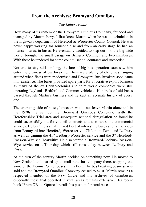## **From the Archives: Bromyard Omnibus**

#### *The Editor recalls*

How many of us remember the Bromyard Omnibus Company, founded and managed by Martin Perry. I first knew Martin when he was a technician in the highways department of Hereford & Worcester County Council. He was never happy working for someone else and from an early stage he had an intense interest in buses. He eventually decided to step out into the big wide world, brought the small garage on Bringsty Common and two minibuses. With these he tendered for some council school contracts and succeeded.

Not one to stay still for long, the lure of big bus operation soon saw him enter the business of bus breaking. There were plenty of old buses hanging around when fleets were modernised and Bromyard Bus Breakers soon came into existence. The buses provided spare parts for a lucrative export business as many of the ex British-colonies and third world companies were still operating Leyland Bedford and Commer vehicles. Hundreds of old buses passed through Martin's business and he kept an accurate history of every one.

The operating side of buses, however, would not leave Martin alone and in the 1970s he set up the Bromyard Omnibus Company. With the Herefordshire Trial area and subsequent national deregulation he found he could successfully bid for council contracts and also run some commercial services. He built up a small mixed fleet of interesting buses and ran services from Bromyard into Hereford, Worcester via Clifton-on-Teme and Ledbury as well as gaining the 417 Ledbury-Worcester service and the 37 Hereford-Ross-on-Wye via Hoarwithy. He also started a Bromyard-Ledbury-Ross-on-Wye service on a Thursday which still runs today between Ledbury and Ross.

At the turn of the century Martin decided on something new. He moved to New Zealand and started up a small rural bus company there, shipping out some of the Dennis Pointer buses in his fleet. The bus breaking business was sold and the Bromyard Omnibus Company ceased to exist. Martin remains a respected member of the PSV Circle and his archives of omnibuses, especially those that operated in rural areas remains extensive. His recent book 'From OBs to Optares' recalls his passion for rural buses.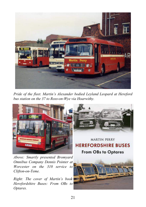

*Pride of the fleet. Martin's Alexander bodied Leyland Leopard at Hereford bus station on the 37 to Ross-on-Wye via Hoarwithy.* 





**MARTIN PERRY HEREFORDSHIRE BUSES** 

**From OBs to Optares** 

*Above: Smartly presented Bromyard Omnibus Company Dennis Pointer at Worcester on the 310 service to Clifton-on-Teme.*

*Right: The cover of Martin's book Herefordshire Buses: From OBs to Optares.*

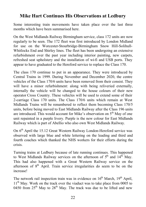#### **Mike Hart Continues His Observations at Ledbury**

Some interesting train movements have taken place over the last three months which have been summarised here.

On the West Midlands Railway Birmingham service, class 172 units are now regularly to be seen. The 172 fleet was first introduced by London Midland for use on the Worcester-Stourbridge-Birmingham Snow Hill-Solihull-Whitlocks End and Shirley lines. The fleet has been undergoing an extensive refurbishment over the past year including interior painting, new carpets, refreshed seat upholstery and the installation of wi-fi and USB ports. They appear to have graduated to the Hereford service to replace the Class 170.

The class 170 continue to put in an appearance. They were introduced by Central Trains in 1999. During November and December 2020, the centre vehicles of the Class 170/6 units have been removed from their consist. They will have a minor refurbishment: along with being reliveried externally, internally the vehicle will be changed to the house colours of their new operator [Cross Country.](https://en.wikipedia.org/wiki/CrossCountry) These vehicles will be used to extend some of their 2-carriage Class 170 units. The Class 170/6 units which remain at West Midlands Trains will be renumbered to reflect them becoming Class 170/5 units, before being moved to East Midlands Railway after the Class 196 units are introduced. This would account for Mike's observation on  $5<sup>th</sup>$  May of one unit repainted in a purple livery. Purple is the new colour for East Midlands Railway which is part of Abellio who also own West Midlands Railway.

On 6<sup>th</sup> April the 15.12 Great Western Railway London-Hereford service was observed with large blue and white lettering on the leading and third and fourth coaches which thanked the NHS workers for their efforts during the crisis.

Turning trains at Ledbury because of late running continues. This happened to West Midlands Railway services on the afternoon of  $5<sup>th</sup>$  and  $14<sup>th</sup>$  May. This had also happened with a Great Western Railway service on the afternoon of  $8<sup>th</sup>$  April. Train service irregularities do seem to be on the increase!

The network rail inspection train was in evidence on  $16<sup>th</sup>$  March,  $19<sup>th</sup>$  April, 11<sup>th</sup> May. Work on the track over the viaduct was to take place from 0005 to 0450 from  $25<sup>th</sup>$  May to  $28<sup>th</sup>$  May. The track was due to be lifted and new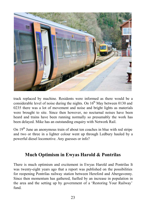

track replaced by machine. Residents were informed as there would be a considerable level of noise during the nights. On  $16<sup>th</sup>$  May between 0130 and 0235 there was a lot of movement and noise and bright lights as materials were brought to site. Since then however, no nocturnal noises have been heard and trains have been running normally so presumably the work has been delayed. Mike has an outstanding enquiry with Network Rail.

On  $19<sup>th</sup>$  June an anonymous train of about ten coaches in blue with red stripe and two or three in a lighter colour went up through Ledbury hauled by a powerful diesel locomotive. Any guesses or info?

#### **Much Optimism in Ewyas Harold & Pontrilas**

There is much optimism and excitement in Ewyas Harold and Pontrilas It was twenty-eight years ago that a report was published on the possibilities for reopening Pontrilas railway station between Hereford and Abergavenny. Since then momentum has gathered, fuelled by an increase in population in the area and the setting up by government of a 'Restoring Your Railway' fund.